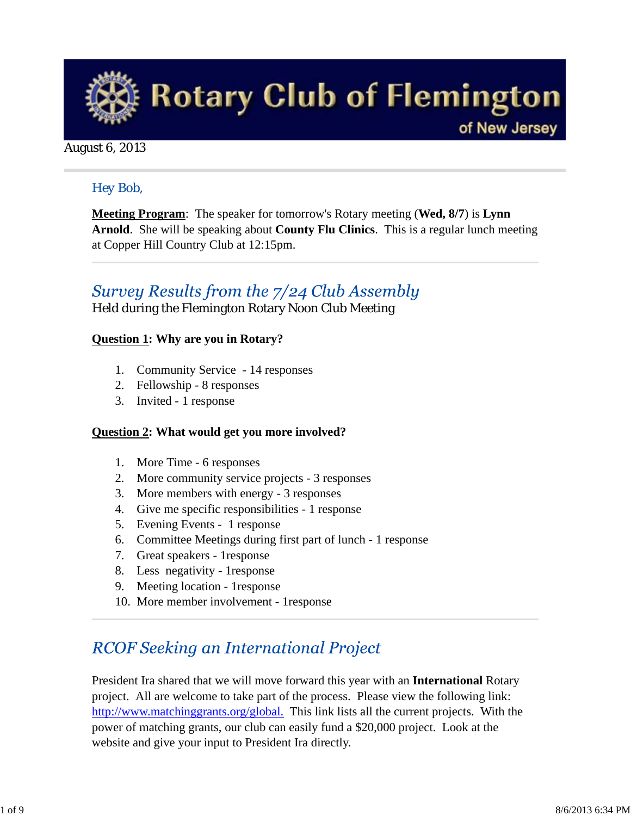

### August 6, 2013

### *Hey Bob,*

**Meeting Program**: The speaker for tomorrow's Rotary meeting (**Wed, 8/7**) is **Lynn Arnold**. She will be speaking about **County Flu Clinics**. This is a regular lunch meeting at Copper Hill Country Club at 12:15pm.

## Survey Results from the 7/24 Club Assembly

Held during the Flemington Rotary Noon Club Meeting

### **Question 1: Why are you in Rotary?**

- 1. Community Service 14 responses
- 2. Fellowship 8 responses
- 3. Invited 1 response

#### **Question 2: What would get you more involved?**

- 1. More Time 6 responses
- 2. More community service projects 3 responses
- 3. More members with energy 3 responses
- 4. Give me specific responsibilities 1 response
- 5. Evening Events 1 response
- 6. Committee Meetings during first part of lunch 1 response
- 7. Great speakers 1response
- 8. Less negativity 1response
- 9. Meeting location 1response
- 10. More member involvement 1response

## **RCOF Seeking an International Project**

President Ira shared that we will move forward this year with an **International** Rotary project. All are welcome to take part of the process. Please view the following link: http://www.matchinggrants.org/global. This link lists all the current projects. With the power of matching grants, our club can easily fund a \$20,000 project. Look at the website and give your input to President Ira directly.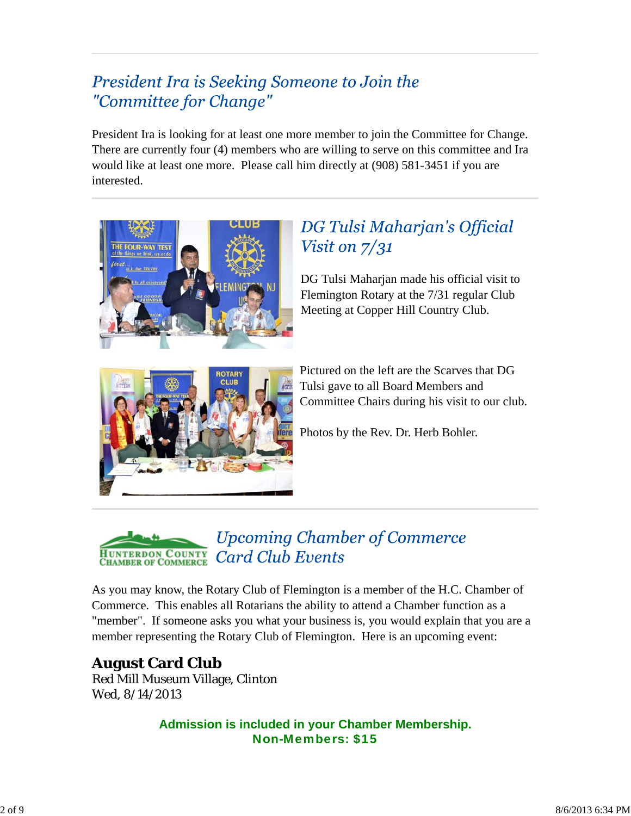## President Ira is Seeking Someone to Join the "Committee for Change"

President Ira is looking for at least one more member to join the Committee for Change. There are currently four (4) members who are willing to serve on this committee and Ira would like at least one more. Please call him directly at (908) 581-3451 if you are interested.



# DG Tulsi Maharjan's Official Visit on  $7/31$

DG Tulsi Maharjan made his official visit to Flemington Rotary at the 7/31 regular Club Meeting at Copper Hill Country Club.



Pictured on the left are the Scarves that DG Tulsi gave to all Board Members and Committee Chairs during his visit to our club.

Photos by the Rev. Dr. Herb Bohler.



As you may know, the Rotary Club of Flemington is a member of the H.C. Chamber of Commerce. This enables all Rotarians the ability to attend a Chamber function as a "member". If someone asks you what your business is, you would explain that you are a member representing the Rotary Club of Flemington. Here is an upcoming event:

### **August Card Club** Red Mill Museum Village, Clinton Wed, 8/14/2013

**Admission is included in your Chamber Membership.** Non-Members: \$15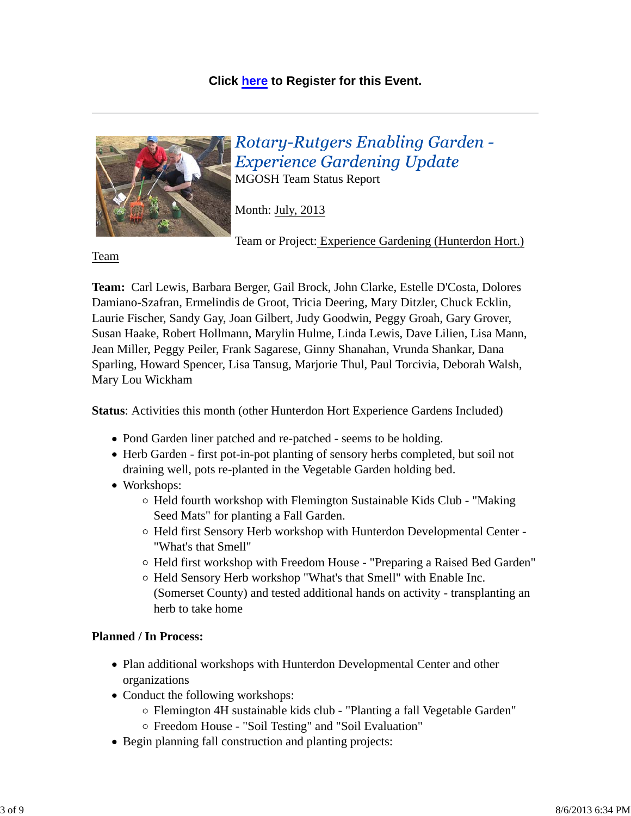### **Click here to Register for this Event.**



Rotary-Rutgers Enabling Garden -**Experience Gardening Update** MGOSH Team Status Report

Month: July, 2013

Team or Project: Experience Gardening (Hunterdon Hort.)

Team

**Team:** Carl Lewis, Barbara Berger, Gail Brock, John Clarke, Estelle D'Costa, Dolores Damiano-Szafran, Ermelindis de Groot, Tricia Deering, Mary Ditzler, Chuck Ecklin, Laurie Fischer, Sandy Gay, Joan Gilbert, Judy Goodwin, Peggy Groah, Gary Grover, Susan Haake, Robert Hollmann, Marylin Hulme, Linda Lewis, Dave Lilien, Lisa Mann, Jean Miller, Peggy Peiler, Frank Sagarese, Ginny Shanahan, Vrunda Shankar, Dana Sparling, Howard Spencer, Lisa Tansug, Marjorie Thul, Paul Torcivia, Deborah Walsh, Mary Lou Wickham

**Status**: Activities this month (other Hunterdon Hort Experience Gardens Included)

- Pond Garden liner patched and re-patched seems to be holding.
- Herb Garden first pot-in-pot planting of sensory herbs completed, but soil not draining well, pots re-planted in the Vegetable Garden holding bed.
- Workshops:
	- $\circ$  Held fourth workshop with Flemington Sustainable Kids Club "Making Seed Mats" for planting a Fall Garden.
	- Held first Sensory Herb workshop with Hunterdon Developmental Center "What's that Smell"
	- $\circ$  Held first workshop with Freedom House "Preparing a Raised Bed Garden"
	- Held Sensory Herb workshop "What's that Smell" with Enable Inc. (Somerset County) and tested additional hands on activity - transplanting an herb to take home

### **Planned / In Process:**

- Plan additional workshops with Hunterdon Developmental Center and other organizations
- Conduct the following workshops:
	- Flemington 4H sustainable kids club "Planting a fall Vegetable Garden"
	- Freedom House "Soil Testing" and "Soil Evaluation"
- Begin planning fall construction and planting projects: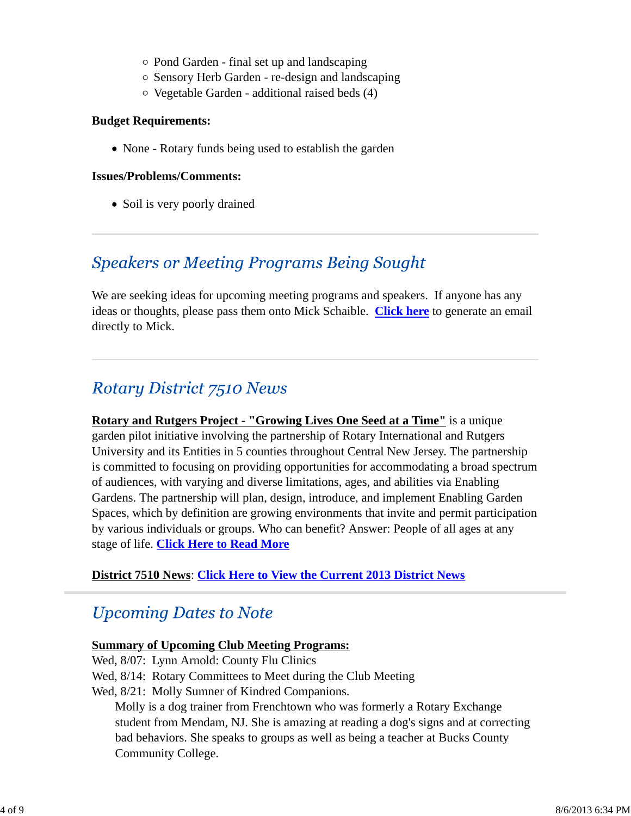- Pond Garden final set up and landscaping
- Sensory Herb Garden re-design and landscaping
- Vegetable Garden additional raised beds (4)

#### **Budget Requirements:**

• None - Rotary funds being used to establish the garden

#### **Issues/Problems/Comments:**

• Soil is very poorly drained

### **Speakers or Meeting Programs Being Sought**

We are seeking ideas for upcoming meeting programs and speakers. If anyone has any ideas or thoughts, please pass them onto Mick Schaible. **Click here** to generate an email directly to Mick.

## **Rotary District 7510 News**

**Rotary and Rutgers Project - "Growing Lives One Seed at a Time"** is a unique garden pilot initiative involving the partnership of Rotary International and Rutgers University and its Entities in 5 counties throughout Central New Jersey. The partnership is committed to focusing on providing opportunities for accommodating a broad spectrum of audiences, with varying and diverse limitations, ages, and abilities via Enabling Gardens. The partnership will plan, design, introduce, and implement Enabling Garden Spaces, which by definition are growing environments that invite and permit participation by various individuals or groups. Who can benefit? Answer: People of all ages at any stage of life. **Click Here to Read More**

### **District 7510 News**: **Click Here to View the Current 2013 District News**

## **Upcoming Dates to Note**

#### **Summary of Upcoming Club Meeting Programs:**

Wed, 8/07: Lynn Arnold: County Flu Clinics Wed, 8/14: Rotary Committees to Meet during the Club Meeting Wed, 8/21: Molly Sumner of Kindred Companions. Molly is a dog trainer from Frenchtown who was formerly a Rotary Exchange student from Mendam, NJ. She is amazing at reading a dog's signs and at correcting bad behaviors. She speaks to groups as well as being a teacher at Bucks County Community College.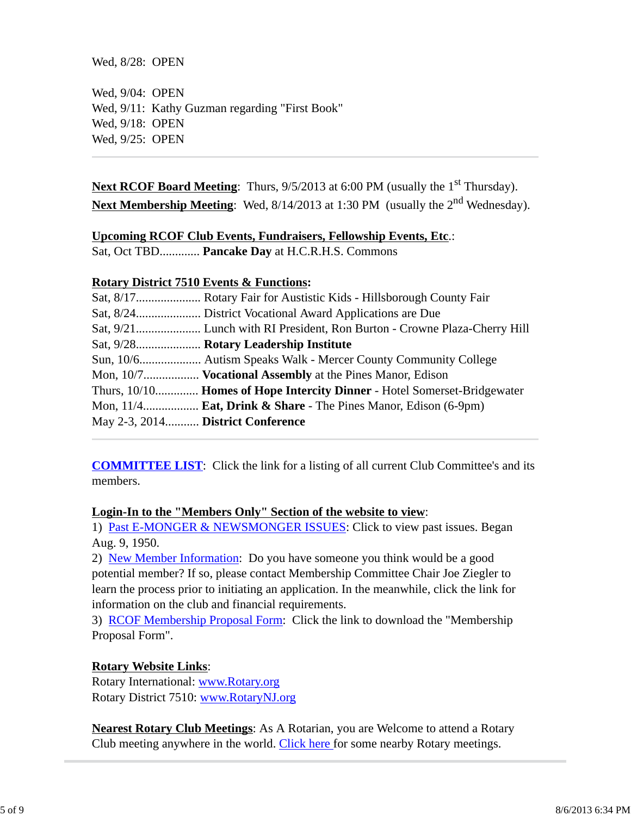Wed, 8/28: OPEN

Wed, 9/04: OPEN Wed, 9/11: Kathy Guzman regarding "First Book" Wed, 9/18: OPEN Wed, 9/25: OPEN

**Next RCOF Board Meeting:** Thurs,  $9/5/2013$  at 6:00 PM (usually the 1<sup>st</sup> Thursday). Next Membership Meeting: Wed, 8/14/2013 at 1:30 PM (usually the 2<sup>nd</sup> Wednesday).

### **Upcoming RCOF Club Events, Fundraisers, Fellowship Events, Etc**.:

Sat, Oct TBD............. **Pancake Day** at H.C.R.H.S. Commons

### **Rotary District 7510 Events & Functions:**

|                                   | Sat, 9/28 Rotary Leadership Institute                                       |
|-----------------------------------|-----------------------------------------------------------------------------|
|                                   |                                                                             |
|                                   | Mon, 10/7 <b>Vocational Assembly</b> at the Pines Manor, Edison             |
|                                   | Thurs, 10/10 Homes of Hope Intercity Dinner - Hotel Somerset-Bridgewater    |
|                                   | Mon, $11/4$ <b>Eat, Drink &amp; Share</b> - The Pines Manor, Edison (6-9pm) |
| May 2-3, 2014 District Conference |                                                                             |

**COMMITTEE LIST**: Click the link for a listing of all current Club Committee's and its members.

#### **Login-In to the "Members Only" Section of the website to view**:

1) Past E-MONGER & NEWSMONGER ISSUES: Click to view past issues. Began Aug. 9, 1950.

2) New Member Information: Do you have someone you think would be a good potential member? If so, please contact Membership Committee Chair Joe Ziegler to learn the process prior to initiating an application. In the meanwhile, click the link for information on the club and financial requirements.

3) RCOF Membership Proposal Form: Click the link to download the "Membership Proposal Form".

### **Rotary Website Links**:

Rotary International: www.Rotary.org Rotary District 7510: www.RotaryNJ.org

**Nearest Rotary Club Meetings**: As A Rotarian, you are Welcome to attend a Rotary Club meeting anywhere in the world. Click here for some nearby Rotary meetings.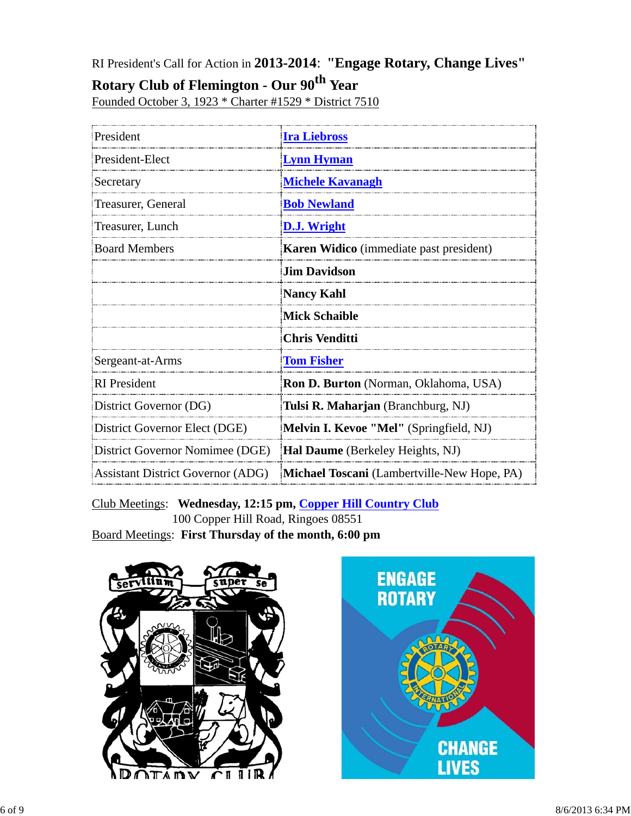RI President's Call for Action in **2013-2014**: **"Engage Rotary, Change Lives"**

## **Rotary Club of Flemington - Our 90th Year**

Founded October 3, 1923 \* Charter #1529 \* District 7510

| President                                | <b>Ira Liebross</b>                            |  |  |
|------------------------------------------|------------------------------------------------|--|--|
| President-Elect                          | <b>Lynn Hyman</b>                              |  |  |
| Secretary                                | <b>Michele Kavanagh</b>                        |  |  |
| Treasurer, General                       | <b>Bob Newland</b>                             |  |  |
| Treasurer, Lunch                         | D.J. Wright                                    |  |  |
| <b>Board Members</b>                     | <b>Karen Widico</b> (immediate past president) |  |  |
|                                          | <b>Jim Davidson</b>                            |  |  |
|                                          | <b>Nancy Kahl</b>                              |  |  |
|                                          | <b>Mick Schaible</b>                           |  |  |
|                                          | <b>Chris Venditti</b>                          |  |  |
| Sergeant-at-Arms                         | <b>Tom Fisher</b>                              |  |  |
| <b>RI</b> President                      | Ron D. Burton (Norman, Oklahoma, USA)          |  |  |
| District Governor (DG)                   | Tulsi R. Maharjan (Branchburg, NJ)             |  |  |
| District Governor Elect (DGE)            | Melvin I. Kevoe "Mel" (Springfield, NJ)        |  |  |
| District Governor Nomimee (DGE)          | <b>Hal Daume</b> (Berkeley Heights, NJ)        |  |  |
| <b>Assistant District Governor (ADG)</b> | Michael Toscani (Lambertville-New Hope, PA)    |  |  |

Club Meetings: **Wednesday, 12:15 pm, Copper Hill Country Club** 100 Copper Hill Road, Ringoes 08551 Board Meetings: **First Thursday of the month, 6:00 pm**



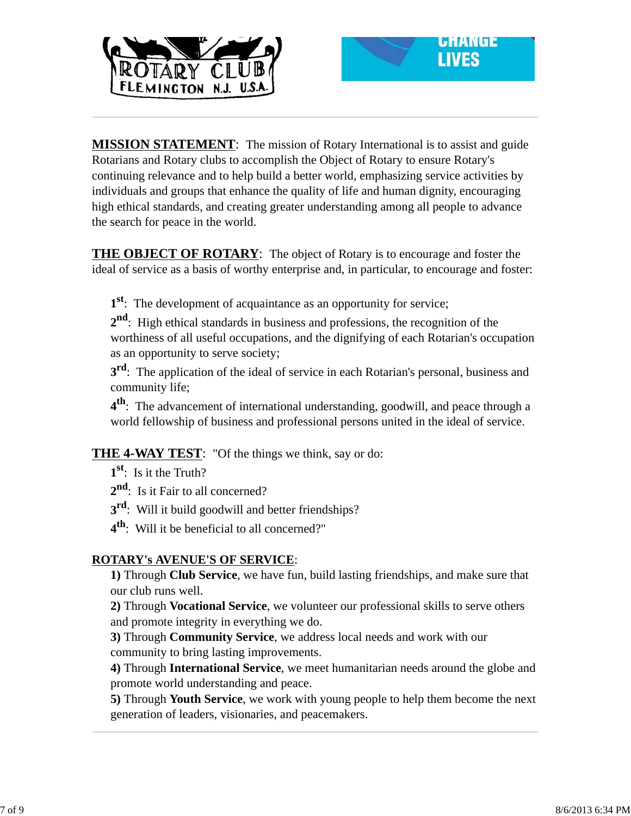



**MISSION STATEMENT**: The mission of Rotary International is to assist and guide Rotarians and Rotary clubs to accomplish the Object of Rotary to ensure Rotary's continuing relevance and to help build a better world, emphasizing service activities by individuals and groups that enhance the quality of life and human dignity, encouraging high ethical standards, and creating greater understanding among all people to advance the search for peace in the world.

**THE OBJECT OF ROTARY**: The object of Rotary is to encourage and foster the ideal of service as a basis of worthy enterprise and, in particular, to encourage and foster:

**1st**: The development of acquaintance as an opportunity for service;

**2nd**: High ethical standards in business and professions, the recognition of the worthiness of all useful occupations, and the dignifying of each Rotarian's occupation as an opportunity to serve society;

**3<sup>rd</sup>**: The application of the ideal of service in each Rotarian's personal, business and community life;

**4th**: The advancement of international understanding, goodwill, and peace through a world fellowship of business and professional persons united in the ideal of service.

**THE 4-WAY TEST**: "Of the things we think, say or do:

**1st**: Is it the Truth?

2<sup>nd</sup>: Is it Fair to all concerned?

**3<sup>rd</sup>:** Will it build goodwill and better friendships?

**4th**: Will it be beneficial to all concerned?"

### **ROTARY's AVENUE'S OF SERVICE**:

**1)** Through **Club Service**, we have fun, build lasting friendships, and make sure that our club runs well.

**2)** Through **Vocational Service**, we volunteer our professional skills to serve others and promote integrity in everything we do.

**3)** Through **Community Service**, we address local needs and work with our community to bring lasting improvements.

**4)** Through **International Service**, we meet humanitarian needs around the globe and promote world understanding and peace.

**5)** Through **Youth Service**, we work with young people to help them become the next generation of leaders, visionaries, and peacemakers.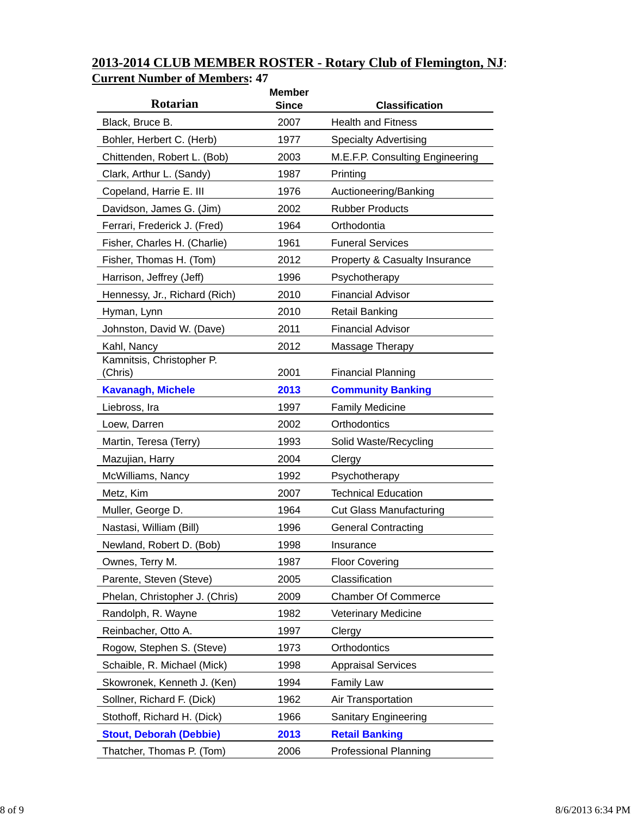| <b>Rotarian</b>                | <b>Member</b><br><b>Since</b> | <b>Classification</b>                    |
|--------------------------------|-------------------------------|------------------------------------------|
| Black, Bruce B.                | 2007                          | <b>Health and Fitness</b>                |
| Bohler, Herbert C. (Herb)      | 1977                          | <b>Specialty Advertising</b>             |
| Chittenden, Robert L. (Bob)    | 2003                          | M.E.F.P. Consulting Engineering          |
| Clark, Arthur L. (Sandy)       | 1987                          | Printing                                 |
| Copeland, Harrie E. III        | 1976                          | Auctioneering/Banking                    |
| Davidson, James G. (Jim)       | 2002                          | <b>Rubber Products</b>                   |
| Ferrari, Frederick J. (Fred)   | 1964                          | Orthodontia                              |
| Fisher, Charles H. (Charlie)   | 1961                          | <b>Funeral Services</b>                  |
| Fisher, Thomas H. (Tom)        | 2012                          | <b>Property &amp; Casualty Insurance</b> |
| Harrison, Jeffrey (Jeff)       | 1996                          | Psychotherapy                            |
| Hennessy, Jr., Richard (Rich)  | 2010                          | <b>Financial Advisor</b>                 |
| Hyman, Lynn                    | 2010                          | <b>Retail Banking</b>                    |
| Johnston, David W. (Dave)      | 2011                          | <b>Financial Advisor</b>                 |
| Kahl, Nancy                    | 2012                          | Massage Therapy                          |
| Kamnitsis, Christopher P.      |                               |                                          |
| (Chris)                        | 2001                          | <b>Financial Planning</b>                |
| <b>Kavanagh, Michele</b>       | 2013                          | <b>Community Banking</b>                 |
| Liebross, Ira                  | 1997                          | <b>Family Medicine</b>                   |
| Loew, Darren                   | 2002                          | Orthodontics                             |
| Martin, Teresa (Terry)         | 1993                          | Solid Waste/Recycling                    |
| Mazujian, Harry                | 2004                          | Clergy                                   |
| McWilliams, Nancy              | 1992                          | Psychotherapy                            |
| Metz, Kim                      | 2007                          | <b>Technical Education</b>               |
| Muller, George D.              | 1964                          | <b>Cut Glass Manufacturing</b>           |
| Nastasi, William (Bill)        | 1996                          | <b>General Contracting</b>               |
| Newland, Robert D. (Bob)       | 1998                          | Insurance                                |
| Ownes, Terry M.                | 1987                          | <b>Floor Covering</b>                    |
| Parente, Steven (Steve)        | 2005                          | Classification                           |
| Phelan, Christopher J. (Chris) | 2009                          | <b>Chamber Of Commerce</b>               |
| Randolph, R. Wayne             | 1982                          | <b>Veterinary Medicine</b>               |
| Reinbacher, Otto A.            | 1997                          | Clergy                                   |
| Rogow, Stephen S. (Steve)      | 1973                          | Orthodontics                             |
| Schaible, R. Michael (Mick)    | 1998                          | <b>Appraisal Services</b>                |
| Skowronek, Kenneth J. (Ken)    | 1994                          | <b>Family Law</b>                        |
| Sollner, Richard F. (Dick)     | 1962                          | Air Transportation                       |
| Stothoff, Richard H. (Dick)    | 1966                          | <b>Sanitary Engineering</b>              |
| <b>Stout, Deborah (Debbie)</b> | 2013                          | <b>Retail Banking</b>                    |
| Thatcher, Thomas P. (Tom)      | 2006                          | <b>Professional Planning</b>             |

### **2013-2014 CLUB MEMBER ROSTER - Rotary Club of Flemington, NJ**: **Current Number of Members: 47**